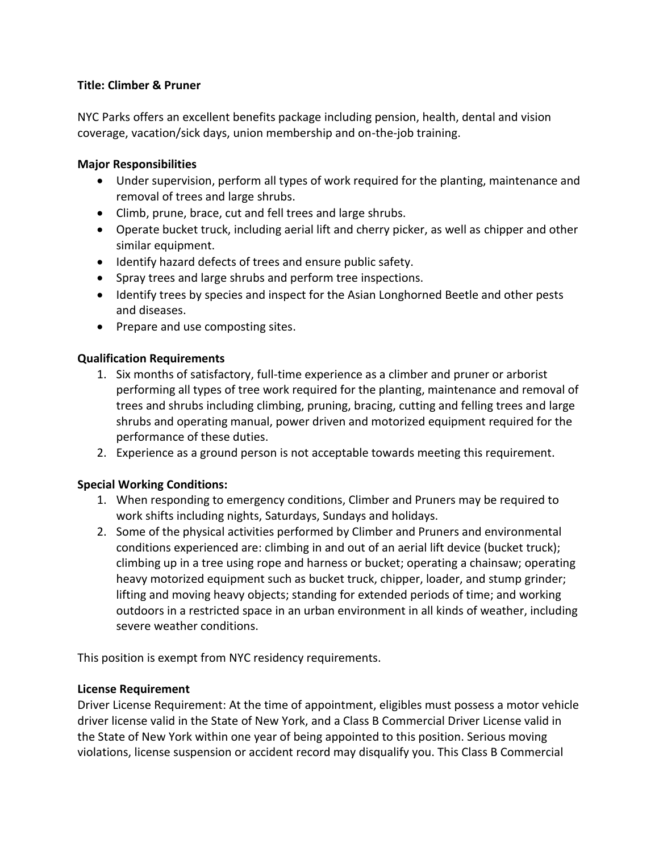### **Title: Climber & Pruner**

NYC Parks offers an excellent benefits package including pension, health, dental and vision coverage, vacation/sick days, union membership and on-the-job training.

#### **Major Responsibilities**

- Under supervision, perform all types of work required for the planting, maintenance and removal of trees and large shrubs.
- Climb, prune, brace, cut and fell trees and large shrubs.
- Operate bucket truck, including aerial lift and cherry picker, as well as chipper and other similar equipment.
- Identify hazard defects of trees and ensure public safety.
- Spray trees and large shrubs and perform tree inspections.
- Identify trees by species and inspect for the Asian Longhorned Beetle and other pests and diseases.
- Prepare and use composting sites.

### **Qualification Requirements**

- 1. Six months of satisfactory, full-time experience as a climber and pruner or arborist performing all types of tree work required for the planting, maintenance and removal of trees and shrubs including climbing, pruning, bracing, cutting and felling trees and large shrubs and operating manual, power driven and motorized equipment required for the performance of these duties.
- 2. Experience as a ground person is not acceptable towards meeting this requirement.

# **Special Working Conditions:**

- 1. When responding to emergency conditions, Climber and Pruners may be required to work shifts including nights, Saturdays, Sundays and holidays.
- 2. Some of the physical activities performed by Climber and Pruners and environmental conditions experienced are: climbing in and out of an aerial lift device (bucket truck); climbing up in a tree using rope and harness or bucket; operating a chainsaw; operating heavy motorized equipment such as bucket truck, chipper, loader, and stump grinder; lifting and moving heavy objects; standing for extended periods of time; and working outdoors in a restricted space in an urban environment in all kinds of weather, including severe weather conditions.

This position is exempt from NYC residency requirements.

# **License Requirement**

Driver License Requirement: At the time of appointment, eligibles must possess a motor vehicle driver license valid in the State of New York, and a Class B Commercial Driver License valid in the State of New York within one year of being appointed to this position. Serious moving violations, license suspension or accident record may disqualify you. This Class B Commercial